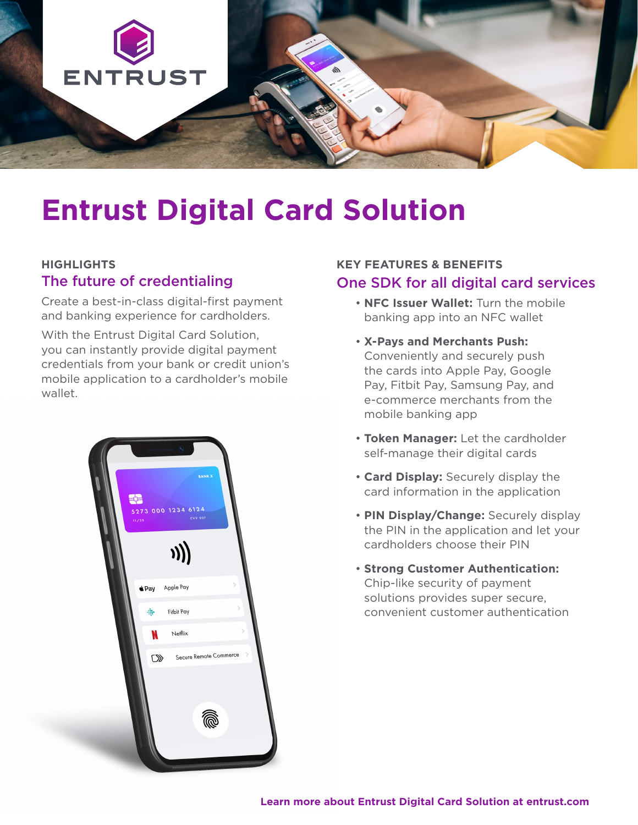

# **Entrust Digital Card Solution**

#### **HIGHLIGHTS** The future of credentialing

Create a best-in-class digital-first payment and banking experience for cardholders.

With the Entrust Digital Card Solution. you can instantly provide digital payment credentials from your bank or credit union's mobile application to a cardholder's mobile wallet.



### **KEY FEATURES & BENEFITS**  One SDK for all digital card services

- **NFC Issuer Wallet:** Turn the mobile banking app into an NFC wallet
- **X-Pays and Merchants Push:** Conveniently and securely push the cards into Apple Pay, Google Pay, Fitbit Pay, Samsung Pay, and e-commerce merchants from the mobile banking app
- **Token Manager:** Let the cardholder self-manage their digital cards
- **Card Display:** Securely display the card information in the application
- **PIN Display/Change:** Securely display the PIN in the application and let your cardholders choose their PIN
- **Strong Customer Authentication:** Chip-like security of payment solutions provides super secure, convenient customer authentication